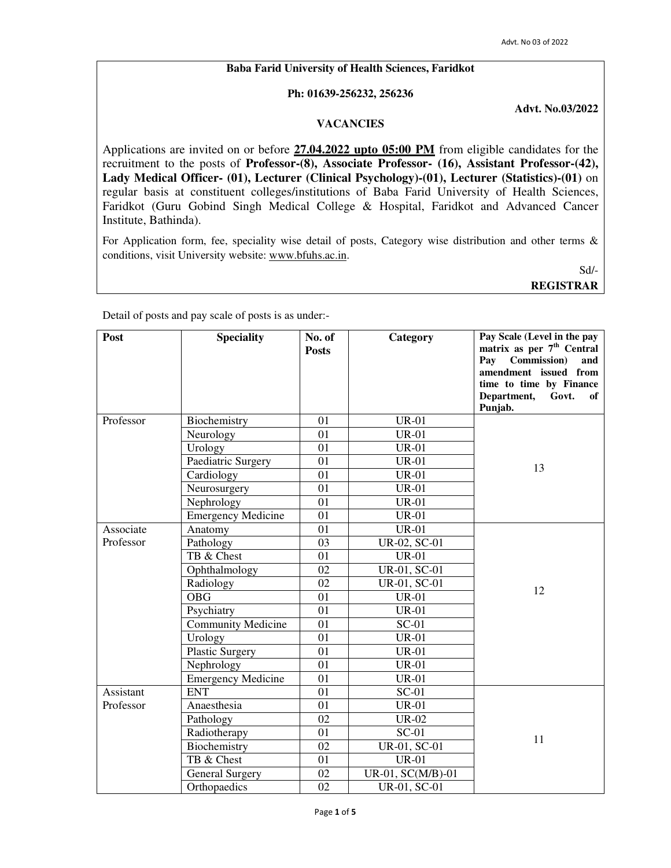#### **Baba Farid University of Health Sciences, Faridkot**

#### **Ph: 01639-256232, 256236**

**Advt. No.03/2022**

## **VACANCIES**

Applications are invited on or before **27.04.2022 upto 05:00 PM** from eligible candidates for the recruitment to the posts of **Professor-(8), Associate Professor- (16), Assistant Professor-(42), Lady Medical Officer- (01), Lecturer (Clinical Psychology)-(01), Lecturer (Statistics)-(01)** on regular basis at constituent colleges/institutions of Baba Farid University of Health Sciences, Faridkot (Guru Gobind Singh Medical College & Hospital, Faridkot and Advanced Cancer Institute, Bathinda).

For Application form, fee, speciality wise detail of posts, Category wise distribution and other terms & conditions, visit University website: www.bfuhs.ac.in.

Sd/-

**REGISTRAR**

Detail of posts and pay scale of posts is as under:-

| Post      | <b>Speciality</b>         | No. of<br><b>Posts</b> | Category          | Pay Scale (Level in the pay<br>matrix as per 7 <sup>th</sup> Central<br>Commission)<br>Pav<br>and<br>amendment issued from<br>time to time by Finance<br>Department,<br>Govt.<br>of<br>Punjab. |
|-----------|---------------------------|------------------------|-------------------|------------------------------------------------------------------------------------------------------------------------------------------------------------------------------------------------|
| Professor | Biochemistry              | 01                     | <b>UR-01</b>      |                                                                                                                                                                                                |
|           | Neurology                 | 01                     | <b>UR-01</b>      |                                                                                                                                                                                                |
|           | Urology                   | 01                     | <b>UR-01</b>      |                                                                                                                                                                                                |
|           | Paediatric Surgery        | 01                     | <b>UR-01</b>      | 13                                                                                                                                                                                             |
|           | Cardiology                | 01                     | <b>UR-01</b>      |                                                                                                                                                                                                |
|           | Neurosurgery              | 01                     | <b>UR-01</b>      |                                                                                                                                                                                                |
|           | Nephrology                | 01                     | <b>UR-01</b>      |                                                                                                                                                                                                |
|           | <b>Emergency Medicine</b> | 01                     | <b>UR-01</b>      |                                                                                                                                                                                                |
| Associate | Anatomy                   | 01                     | <b>UR-01</b>      |                                                                                                                                                                                                |
| Professor | Pathology                 | 03                     | UR-02, SC-01      |                                                                                                                                                                                                |
|           | TB & Chest                | 01                     | <b>UR-01</b>      |                                                                                                                                                                                                |
|           | Ophthalmology             | 02                     | UR-01, SC-01      |                                                                                                                                                                                                |
|           | Radiology                 | 02                     | UR-01, SC-01      | 12                                                                                                                                                                                             |
|           | <b>OBG</b>                | 01                     | <b>UR-01</b>      |                                                                                                                                                                                                |
|           | Psychiatry                | 01                     | $UR-01$           |                                                                                                                                                                                                |
|           | <b>Community Medicine</b> | 01                     | $SC-01$           |                                                                                                                                                                                                |
|           | Urology                   | 01                     | <b>UR-01</b>      |                                                                                                                                                                                                |
|           | <b>Plastic Surgery</b>    | 01                     | <b>UR-01</b>      |                                                                                                                                                                                                |
|           | Nephrology                | $\overline{01}$        | $UR-01$           |                                                                                                                                                                                                |
|           | <b>Emergency Medicine</b> | 01                     | <b>UR-01</b>      |                                                                                                                                                                                                |
| Assistant | <b>ENT</b>                | 01                     | $SC-01$           |                                                                                                                                                                                                |
| Professor | Anaesthesia               | 01                     | <b>UR-01</b>      |                                                                                                                                                                                                |
|           | Pathology                 | 02                     | <b>UR-02</b>      |                                                                                                                                                                                                |
|           | Radiotherapy              | 01                     | $SC-01$           | 11                                                                                                                                                                                             |
|           | Biochemistry              | 02                     | UR-01, SC-01      |                                                                                                                                                                                                |
|           | TB & Chest                | 01                     | <b>UR-01</b>      |                                                                                                                                                                                                |
|           | <b>General Surgery</b>    | 02                     | UR-01, SC(M/B)-01 |                                                                                                                                                                                                |
|           | Orthopaedics              | 02                     | UR-01, SC-01      |                                                                                                                                                                                                |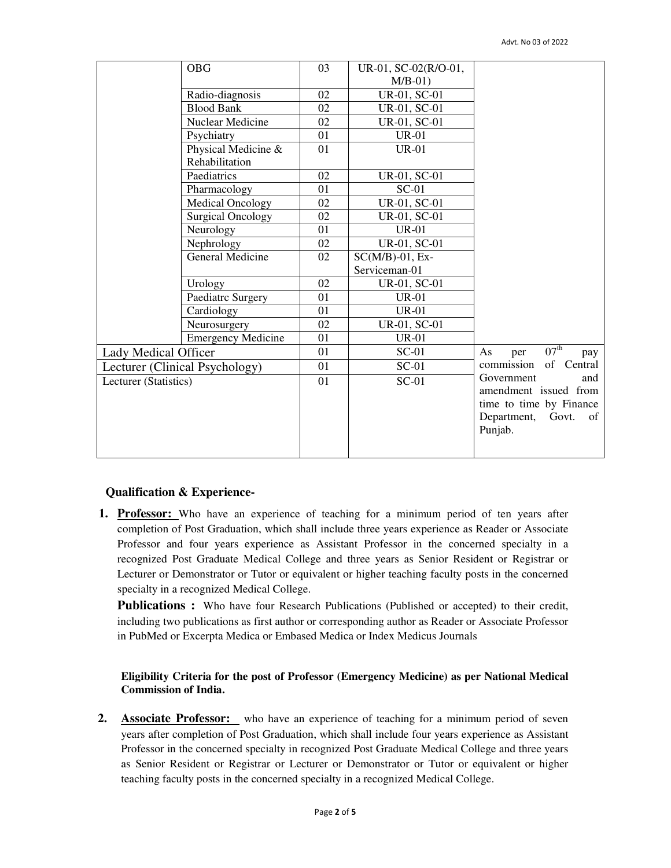|                       | <b>OBG</b>                     | 03 | UR-01, SC-02(R/O-01, |                                      |
|-----------------------|--------------------------------|----|----------------------|--------------------------------------|
|                       |                                |    | $M/B-01$ )           |                                      |
|                       | Radio-diagnosis                | 02 | UR-01, SC-01         |                                      |
|                       | <b>Blood Bank</b>              | 02 | UR-01, SC-01         |                                      |
|                       | Nuclear Medicine               | 02 | UR-01, SC-01         |                                      |
|                       | Psychiatry                     | 01 | <b>UR-01</b>         |                                      |
|                       | Physical Medicine &            | 01 | <b>UR-01</b>         |                                      |
|                       | Rehabilitation                 |    |                      |                                      |
|                       | Paediatrics                    | 02 | UR-01, SC-01         |                                      |
|                       | Pharmacology                   | 01 | $SC-01$              |                                      |
|                       | <b>Medical Oncology</b>        | 02 | UR-01, SC-01         |                                      |
|                       | <b>Surgical Oncology</b>       | 02 | UR-01, SC-01         |                                      |
|                       | Neurology                      | 01 | <b>UR-01</b>         |                                      |
|                       | Nephrology                     | 02 | UR-01, SC-01         |                                      |
|                       | General Medicine               | 02 | $SC(M/B)-01$ , Ex-   |                                      |
|                       |                                |    | Serviceman-01        |                                      |
|                       | Urology                        | 02 | UR-01, SC-01         |                                      |
|                       | Paediatrc Surgery              | 01 | $UR-01$              |                                      |
|                       | Cardiology                     | 01 | $UR-01$              |                                      |
|                       | Neurosurgery                   | 02 | UR-01, SC-01         |                                      |
|                       | <b>Emergency Medicine</b>      | 01 | <b>UR-01</b>         |                                      |
| Lady Medical Officer  |                                | 01 | $SC-01$              | $07^{\text{th}}$<br>As<br>per<br>pay |
|                       | Lecturer (Clinical Psychology) | 01 | $SC-01$              | commission<br>of Central             |
| Lecturer (Statistics) |                                | 01 | $SC-01$              | Government<br>and                    |
|                       |                                |    |                      | amendment issued from                |
|                       |                                |    |                      | time to time by Finance              |
|                       |                                |    |                      | Department, Govt.<br>of              |
|                       |                                |    |                      | Punjab.                              |
|                       |                                |    |                      |                                      |

## **Qualification & Experience-**

**1. Professor:** Who have an experience of teaching for a minimum period of ten years after completion of Post Graduation, which shall include three years experience as Reader or Associate Professor and four years experience as Assistant Professor in the concerned specialty in a recognized Post Graduate Medical College and three years as Senior Resident or Registrar or Lecturer or Demonstrator or Tutor or equivalent or higher teaching faculty posts in the concerned specialty in a recognized Medical College.

**Publications :** Who have four Research Publications (Published or accepted) to their credit, including two publications as first author or corresponding author as Reader or Associate Professor in PubMed or Excerpta Medica or Embased Medica or Index Medicus Journals

### **Eligibility Criteria for the post of Professor (Emergency Medicine) as per National Medical Commission of India.**

**2. Associate Professor:** who have an experience of teaching for a minimum period of seven years after completion of Post Graduation, which shall include four years experience as Assistant Professor in the concerned specialty in recognized Post Graduate Medical College and three years as Senior Resident or Registrar or Lecturer or Demonstrator or Tutor or equivalent or higher teaching faculty posts in the concerned specialty in a recognized Medical College.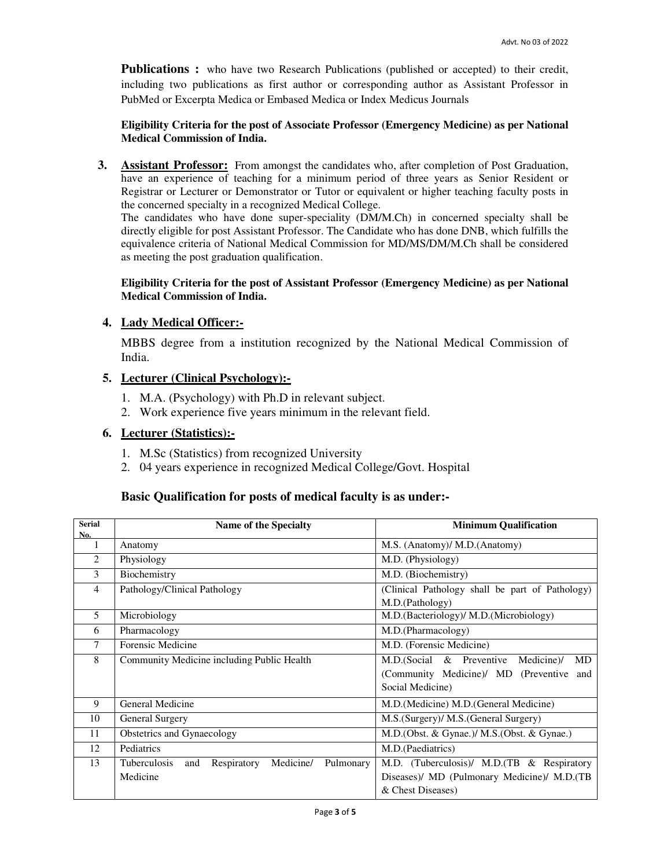**Publications :** who have two Research Publications (published or accepted) to their credit, including two publications as first author or corresponding author as Assistant Professor in PubMed or Excerpta Medica or Embased Medica or Index Medicus Journals

### **Eligibility Criteria for the post of Associate Professor (Emergency Medicine) as per National Medical Commission of India.**

**3. Assistant Professor:** From amongst the candidates who, after completion of Post Graduation, have an experience of teaching for a minimum period of three years as Senior Resident or Registrar or Lecturer or Demonstrator or Tutor or equivalent or higher teaching faculty posts in the concerned specialty in a recognized Medical College.

The candidates who have done super-speciality (DM/M.Ch) in concerned specialty shall be directly eligible for post Assistant Professor. The Candidate who has done DNB, which fulfills the equivalence criteria of National Medical Commission for MD/MS/DM/M.Ch shall be considered as meeting the post graduation qualification.

### **Eligibility Criteria for the post of Assistant Professor (Emergency Medicine) as per National Medical Commission of India.**

# **4. Lady Medical Officer:-**

MBBS degree from a institution recognized by the National Medical Commission of India.

# **5. Lecturer (Clinical Psychology):-**

- 1. M.A. (Psychology) with Ph.D in relevant subject.
- 2. Work experience five years minimum in the relevant field.

# **6. Lecturer (Statistics):-**

- 1. M.Sc (Statistics) from recognized University
- 2. 04 years experience in recognized Medical College/Govt. Hospital

# **Basic Qualification for posts of medical faculty is as under:-**

| <b>Serial</b><br>No. | <b>Name of the Specialty</b>                                        | <b>Minimum Qualification</b>                       |
|----------------------|---------------------------------------------------------------------|----------------------------------------------------|
| 1                    | Anatomy                                                             | M.S. (Anatomy)/ M.D. (Anatomy)                     |
| 2                    | Physiology                                                          | M.D. (Physiology)                                  |
| 3                    | Biochemistry                                                        | M.D. (Biochemistry)                                |
| 4                    | Pathology/Clinical Pathology                                        | (Clinical Pathology shall be part of Pathology)    |
|                      |                                                                     | M.D.(Pathology)                                    |
| 5                    | Microbiology                                                        | M.D. (Bacteriology)/ M.D. (Microbiology)           |
| 6                    | Pharmacology                                                        | M.D.(Pharmacology)                                 |
| 7                    | Forensic Medicine                                                   | M.D. (Forensic Medicine)                           |
| 8                    | Community Medicine including Public Health                          | M.D. (Social<br>$&$ Preventive<br>Medicine)/<br>MD |
|                      |                                                                     | (Community Medicine)/ MD (Preventive<br>and        |
|                      |                                                                     | Social Medicine)                                   |
| 9                    | General Medicine                                                    | M.D. (Medicine) M.D. (General Medicine)            |
| 10                   | General Surgery                                                     | M.S. (Surgery)/ M.S. (General Surgery)             |
| 11                   | Obstetrics and Gynaecology                                          | M.D. (Obst. & Gynae.)/ M.S. (Obst. & Gynae.)       |
| 12                   | Pediatrics                                                          | M.D. (Paediatrics)                                 |
| 13                   | <b>Tuberculosis</b><br>Medicine/<br>Respiratory<br>Pulmonary<br>and | M.D. (Tuberculosis)/ M.D. (TB & Respiratory        |
|                      | Medicine                                                            | Diseases)/ MD (Pulmonary Medicine)/ M.D. (TB       |
|                      |                                                                     | & Chest Diseases)                                  |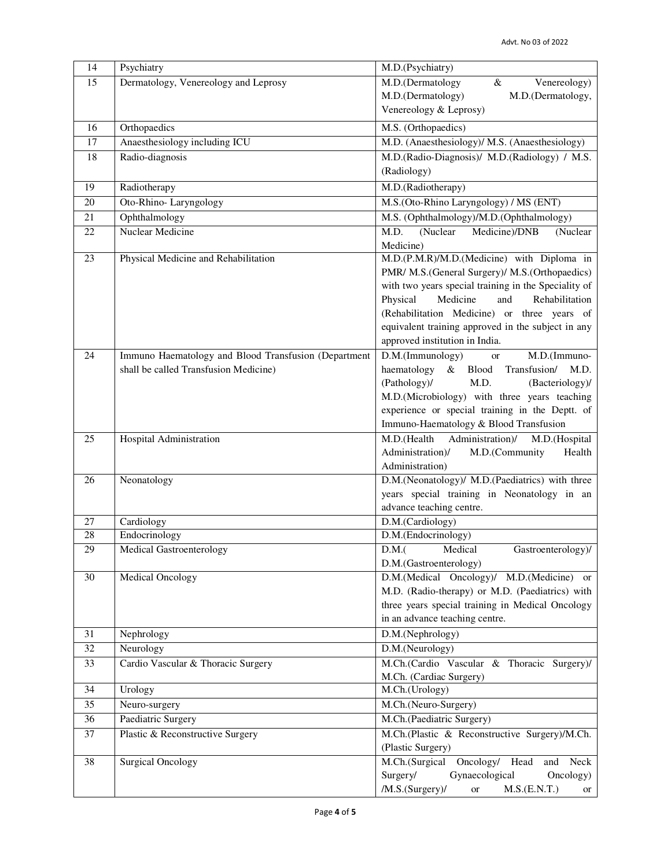| 14 | Psychiatry                                           | M.D.(Psychiatry)                                                                     |
|----|------------------------------------------------------|--------------------------------------------------------------------------------------|
| 15 | Dermatology, Venereology and Leprosy                 | M.D.(Dermatology<br>Venereology)<br>$\&$                                             |
|    |                                                      | M.D.(Dermatology)<br>M.D.(Dermatology,                                               |
|    |                                                      | Venereology & Leprosy)                                                               |
| 16 | Orthopaedics                                         | M.S. (Orthopaedics)                                                                  |
| 17 | Anaesthesiology including ICU                        | M.D. (Anaesthesiology)/ M.S. (Anaesthesiology)                                       |
| 18 | Radio-diagnosis                                      | M.D.(Radio-Diagnosis)/ M.D.(Radiology) / M.S.                                        |
|    |                                                      | (Radiology)                                                                          |
| 19 | Radiotherapy                                         | M.D.(Radiotherapy)                                                                   |
| 20 | Oto-Rhino-Laryngology                                | M.S.(Oto-Rhino Laryngology) / MS (ENT)                                               |
| 21 | Ophthalmology                                        | M.S. (Ophthalmology)/M.D. (Ophthalmology)                                            |
| 22 | Nuclear Medicine                                     | M.D.<br>(Nuclear<br>Medicine)/DNB<br>(Nuclear                                        |
|    |                                                      | Medicine)                                                                            |
| 23 | Physical Medicine and Rehabilitation                 | M.D.(P.M.R)/M.D.(Medicine) with Diploma in                                           |
|    |                                                      | PMR/ M.S.(General Surgery)/ M.S.(Orthopaedics)                                       |
|    |                                                      | with two years special training in the Speciality of                                 |
|    |                                                      | Medicine<br>Physical<br>and<br>Rehabilitation                                        |
|    |                                                      | (Rehabilitation Medicine) or three years of                                          |
|    |                                                      | equivalent training approved in the subject in any<br>approved institution in India. |
| 24 | Immuno Haematology and Blood Transfusion (Department | D.M.(Immunology)<br>M.D.(Immuno-<br><b>or</b>                                        |
|    | shall be called Transfusion Medicine)                | haematology<br>& Blood<br>Transfusion/<br>M.D.                                       |
|    |                                                      | M.D.<br>(Pathology)/<br>(Bacteriology)/                                              |
|    |                                                      | M.D.(Microbiology) with three years teaching                                         |
|    |                                                      | experience or special training in the Deptt. of                                      |
|    |                                                      | Immuno-Haematology & Blood Transfusion                                               |
| 25 | Hospital Administration                              | M.D.(Health<br>Administration)/<br>M.D.(Hospital                                     |
|    |                                                      | Administration)/<br>M.D.(Community<br>Health                                         |
|    |                                                      | Administration)                                                                      |
| 26 | Neonatology                                          | D.M.(Neonatology)/ M.D.(Paediatrics) with three                                      |
|    |                                                      | years special training in Neonatology in an                                          |
| 27 | Cardiology                                           | advance teaching centre.<br>D.M.(Cardiology)                                         |
| 28 | Endocrinology                                        | D.M.(Endocrinology)                                                                  |
| 29 | Medical Gastroenterology                             | Gastroenterology)/<br>D.M.(<br>Medical                                               |
|    |                                                      | D.M.(Gastroenterology)                                                               |
| 30 | <b>Medical Oncology</b>                              | D.M.(Medical Oncology)/ M.D.(Medicine) or                                            |
|    |                                                      | M.D. (Radio-therapy) or M.D. (Paediatrics) with                                      |
|    |                                                      | three years special training in Medical Oncology                                     |
|    |                                                      | in an advance teaching centre.                                                       |
| 31 | Nephrology                                           | D.M.(Nephrology)                                                                     |
| 32 | Neurology                                            | D.M.(Neurology)                                                                      |
| 33 | Cardio Vascular & Thoracic Surgery                   | M.Ch.(Cardio Vascular & Thoracic Surgery)/                                           |
|    |                                                      | M.Ch. (Cardiac Surgery)                                                              |
| 34 | Urology                                              | M.Ch.(Urology)                                                                       |
| 35 | Neuro-surgery                                        | M.Ch.(Neuro-Surgery)                                                                 |
| 36 | Paediatric Surgery                                   | M.Ch.(Paediatric Surgery)                                                            |
| 37 | Plastic & Reconstructive Surgery                     | M.Ch.(Plastic & Reconstructive Surgery)/M.Ch.                                        |
|    |                                                      | (Plastic Surgery)                                                                    |
| 38 | <b>Surgical Oncology</b>                             | M.Ch.(Surgical<br>Oncology/ Head<br>Neck<br>and                                      |
|    |                                                      | Surgery/<br>Gynaecological<br>Oncology)                                              |
|    |                                                      | /M.S.(Surgery)/<br>M.S.(E.N.T.)<br><b>or</b><br>or                                   |